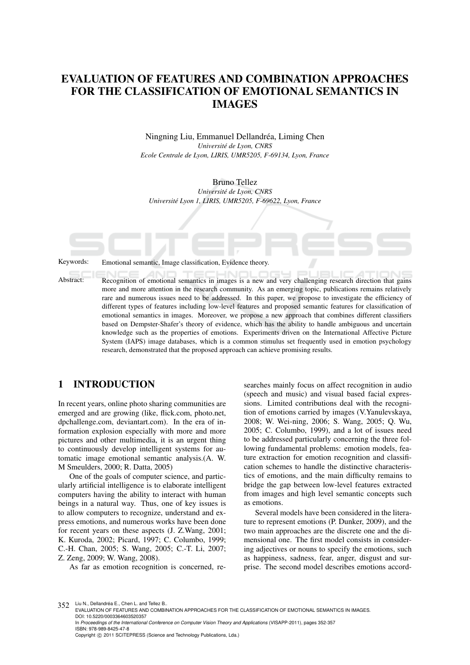# EVALUATION OF FEATURES AND COMBINATION APPROACHES FOR THE CLASSIFICATION OF EMOTIONAL SEMANTICS IN IMAGES

Ningning Liu, Emmanuel Dellandréa, Liming Chen *Universite de Lyon, CNRS ´ Ecole Centrale de Lyon, LIRIS, UMR5205, F-69134, Lyon, France*

Bruno Tellez *Universite de Lyon, CNRS ´ Universite Lyon 1, LIRIS, UMR5205, F-69622, Lyon, France ´*

Keywords: Emotional semantic, Image classification, Evidence theory.

Abstract: Recognition of emotional semantics in images is a new and very challenging research direction that gains more and more attention in the research community. As an emerging topic, publications remains relatively rare and numerous issues need to be addressed. In this paper, we propose to investigate the efficiency of different types of features including low-level features and proposed semantic features for classification of emotional semantics in images. Moreover, we propose a new approach that combines different classifiers based on Dempster-Shafer's theory of evidence, which has the ability to handle ambiguous and uncertain knowledge such as the properties of emotions. Experiments driven on the International Affective Picture System (IAPS) image databases, which is a common stimulus set frequently used in emotion psychology research, demonstrated that the proposed approach can achieve promising results.

#### 1 INTRODUCTION

In recent years, online photo sharing communities are emerged and are growing (like, flick.com, photo.net, dpchallenge.com, deviantart.com). In the era of information explosion especially with more and more pictures and other multimedia, it is an urgent thing to continuously develop intelligent systems for automatic image emotional semantic analysis.(A. W. M Smeulders, 2000; R. Datta, 2005)

One of the goals of computer science, and particularly artificial intelligence is to elaborate intelligent computers having the ability to interact with human beings in a natural way. Thus, one of key issues is to allow computers to recognize, understand and express emotions, and numerous works have been done for recent years on these aspects (J. Z.Wang, 2001; K. Kuroda, 2002; Picard, 1997; C. Columbo, 1999; C.-H. Chan, 2005; S. Wang, 2005; C.-T. Li, 2007; Z. Zeng, 2009; W. Wang, 2008).

As far as emotion recognition is concerned, re-

searches mainly focus on affect recognition in audio (speech and music) and visual based facial expressions. Limited contributions deal with the recognition of emotions carried by images (V.Yanulevskaya, 2008; W. Wei-ning, 2006; S. Wang, 2005; Q. Wu, 2005; C. Columbo, 1999), and a lot of issues need to be addressed particularly concerning the three following fundamental problems: emotion models, feature extraction for emotion recognition and classification schemes to handle the distinctive characteristics of emotions, and the main difficulty remains to bridge the gap between low-level features extracted from images and high level semantic concepts such as emotions.

Several models have been considered in the literature to represent emotions (P. Dunker, 2009), and the two main approaches are the discrete one and the dimensional one. The first model consists in considering adjectives or nouns to specify the emotions, such as happiness, sadness, fear, anger, disgust and surprise. The second model describes emotions accord-

352 Liu N., Dellandréa E., Chen L. and Tellez B.

In *Proceedings of the International Conference on Computer Vision Theory and Applications* (VISAPP-2011), pages 352-357 ISBN: 978-989-8425-47-8

EVALUATION OF FEATURES AND COMBINATION APPROACHES FOR THE CLASSIFICATION OF EMOTIONAL SEMANTICS IN IMAGES. DOI: 10.5220/0003364603520357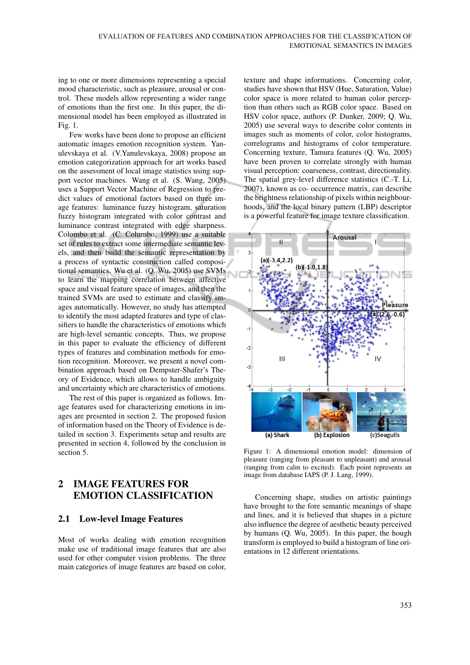ing to one or more dimensions representing a special mood characteristic, such as pleasure, arousal or control. These models allow representing a wider range of emotions than the first one. In this paper, the dimensional model has been employed as illustrated in Fig. 1.

Few works have been done to propose an efficient automatic images emotion recognition system. Yanulevskaya et al. (V.Yanulevskaya, 2008) propose an emotion categorization approach for art works based on the assessment of local image statistics using support vector machines. Wang et al. (S. Wang, 2005) uses a Support Vector Machine of Regression to predict values of emotional factors based on three image features: luminance fuzzy histogram, saturation fuzzy histogram integrated with color contrast and luminance contrast integrated with edge sharpness. Colombo et al. (C. Columbo, 1999) use a suitable set of rules to extract some intermediate semantic levels, and then build the semantic representation by a process of syntactic construction called compositional semantics. Wu et al. (Q. Wu, 2005) use SVMs to learn the mapping correlation between affective space and visual feature space of images, and then the trained SVMs are used to estimate and classify images automatically. However, no study has attempted to identify the most adapted features and type of classifiers to handle the characteristics of emotions which are high-level semantic concepts. Thus, we propose in this paper to evaluate the efficiency of different types of features and combination methods for emotion recognition. Moreover, we present a novel combination approach based on Dempster-Shafer's Theory of Evidence, which allows to handle ambiguity and uncertainty which are characteristics of emotions.

The rest of this paper is organized as follows. Image features used for characterizing emotions in images are presented in section 2. The proposed fusion of information based on the Theory of Evidence is detailed in section 3. Experiments setup and results are presented in section 4, followed by the conclusion in section 5.

# 2 IMAGE FEATURES FOR EMOTION CLASSIFICATION

#### 2.1 Low-level Image Features

Most of works dealing with emotion recognition make use of traditional image features that are also used for other computer vision problems. The three main categories of image features are based on color, texture and shape informations. Concerning color, studies have shown that HSV (Hue, Saturation, Value) color space is more related to human color perception than others such as RGB color space. Based on HSV color space, authors (P. Dunker, 2009; Q. Wu, 2005) use several ways to describe color contents in images such as moments of color, color histograms, correlograms and histograms of color temperature. Concerning texture, Tamura features (Q. Wu, 2005) have been proven to correlate strongly with human visual perception: coarseness, contrast, directionality. The spatial grey-level difference statistics (C.-T. Li, 2007), known as co- occurrence matrix, can describe the brightness relationship of pixels within neighbourhoods, and the local binary pattern (LBP) descriptor is a powerful feature for image texture classification.



Figure 1: A dimensional emotion model: dimension of pleasure (ranging from pleasant to unpleasant) and arousal (ranging from calm to excited). Each point represents an image from database IAPS (P. J. Lang, 1999).

Concerning shape, studies on artistic paintings have brought to the fore semantic meanings of shape and lines, and it is believed that shapes in a picture also influence the degree of aesthetic beauty perceived by humans (Q. Wu, 2005). In this paper, the hough transform is employed to build a histogram of line orientations in 12 different orientations.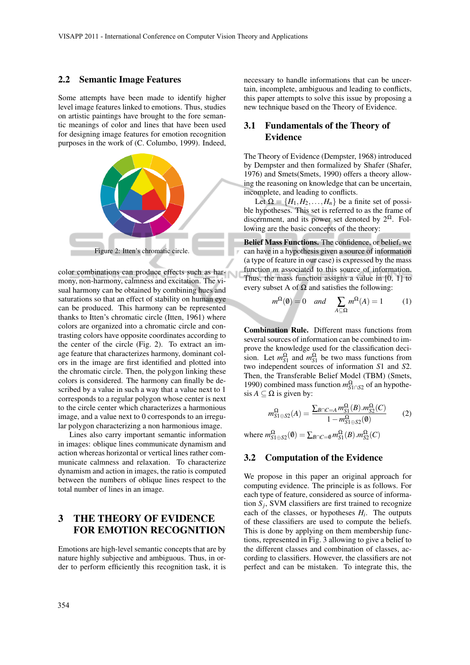#### 2.2 Semantic Image Features

Some attempts have been made to identify higher level image features linked to emotions. Thus, studies on artistic paintings have brought to the fore semantic meanings of color and lines that have been used for designing image features for emotion recognition purposes in the work of (C. Columbo, 1999). Indeed,



color combinations can produce effects such as harmony, non-harmony, calmness and excitation. The visual harmony can be obtained by combining hues and saturations so that an effect of stability on human eye can be produced. This harmony can be represented thanks to Itten's chromatic circle (Itten, 1961) where colors are organized into a chromatic circle and contrasting colors have opposite coordinates according to the center of the circle (Fig. 2). To extract an image feature that characterizes harmony, dominant colors in the image are first identified and plotted into the chromatic circle. Then, the polygon linking these colors is considered. The harmony can finally be described by a value in such a way that a value next to 1 corresponds to a regular polygon whose center is next to the circle center which characterizes a harmonious image, and a value next to 0 corresponds to an irregular polygon characterizing a non harmonious image.

Lines also carry important semantic information in images: oblique lines communicate dynamism and action whereas horizontal or vertical lines rather communicate calmness and relaxation. To characterize dynamism and action in images, the ratio is computed between the numbers of oblique lines respect to the total number of lines in an image.

## 3 THE THEORY OF EVIDENCE FOR EMOTION RECOGNITION

Emotions are high-level semantic concepts that are by nature highly subjective and ambiguous. Thus, in order to perform efficiently this recognition task, it is necessary to handle informations that can be uncertain, incomplete, ambiguous and leading to conflicts, this paper attempts to solve this issue by proposing a new technique based on the Theory of Evidence.

### 3.1 Fundamentals of the Theory of Evidence

The Theory of Evidence (Dempster, 1968) introduced by Dempster and then formalized by Shafer (Shafer, 1976) and Smets(Smets, 1990) offers a theory allowing the reasoning on knowledge that can be uncertain, incomplete, and leading to conflicts.

Let  $\Omega = \{H_1, H_2, \ldots, H_n\}$  be a finite set of possible hypotheses. This set is referred to as the frame of discernment, and its power set denoted by  $2^{\Omega}$ . Following are the basic concepts of the theory:

Belief Mass Functions. The confidence, or belief, we can have in a hypothesis given a source of information (a type of feature in our case) is expressed by the mass function *m* associated to this source of information. Thus, the mass function assigns a value in  $[0, 1]$  to every subset A of  $\Omega$  and satisfies the following:

$$
m^{\Omega}(\mathbf{0}) = 0 \quad and \quad \sum_{A \subseteq \Omega} m^{\Omega}(A) = 1 \tag{1}
$$

Combination Rule. Different mass functions from several sources of information can be combined to improve the knowledge used for the classification decision. Let  $m_{S1}^{\Omega}$  and  $m_{S1}^{\Omega}$  be two mass functions from two independent sources of information *S*1 and *S*2. Then, the Transferable Belief Model (TBM) (Smets, 1990) combined mass function  $m_{S1 \cap S2}^{\Omega}$  of an hypothesis  $A \subseteq \Omega$  is given by:

$$
m_{S1\oplus S2}^{\Omega}(A) = \frac{\sum_{B\cap C=A} m_{S1}^{\Omega}(B) . m_{S2}^{\Omega}(C)}{1 - m_{S1\oplus S2}^{\Omega}(0)} \tag{2}
$$

where  $m_{S_1 \oplus S_2}^{\Omega}(\emptyset) = \sum_{B \cap C = \emptyset} m_{S_1}^{\Omega}(B) . m_{S_2}^{\Omega}(C)$ 

#### 3.2 Computation of the Evidence

We propose in this paper an original approach for computing evidence. The principle is as follows. For each type of feature, considered as source of information  $S_j$ , SVM classifiers are first trained to recognize each of the classes, or hypotheses  $H_i$ . The outputs of these classifiers are used to compute the beliefs. This is done by applying on them membership functions, represented in Fig. 3 allowing to give a belief to the different classes and combination of classes, according to classifiers. However, the classifiers are not perfect and can be mistaken. To integrate this, the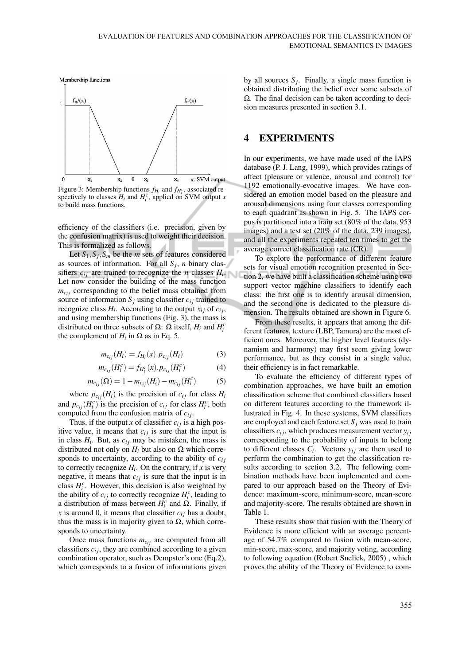

Figure 3: Membership functions  $f_{H_i}$  and  $f_{H_i^c}$ , associated respectively to classes  $H_i$  and  $H_i^c$ , applied on SVM output *x* to build mass functions.

efficiency of the classifiers (i.e. precision, given by the confusion matrix) is used to weight their decision. This is formalized as follows.

Let *S*1,*S<sup>j</sup>* ,*S<sup>m</sup>* be the *m* sets of features considered as sources of information. For all  $S_j$ , *n* binary classifiers  $c_{ij}$  are trained to recognize the *n* classes  $H_i$ . Let now consider the building of the mass function  $m_{c_{ij}}$  corresponding to the belief mass obtained from source of information  $S_i$  using classifier  $c_{ij}$  trained to recognize class  $H_i$ . According to the output  $x_{ij}$  of  $c_{ij}$ , and using membership functions (Fig. 3), the mass is distributed on three subsets of  $\Omega$ :  $\Omega$  itself,  $H_i$  and  $H_i^c$ the complement of  $H_i$  in  $\Omega$  as in Eq. 5.

$$
m_{c_{ij}}(H_i) = f_{H_i}(x) \cdot p_{c_{ij}}(H_i)
$$
 (3)

$$
m_{c_{ij}}(H_i^c) = f_{H_i^c}(x) \cdot p_{c_{ij}}(H_i^c)
$$
 (4)

$$
m_{c_{ij}}(\Omega) = 1 - m_{c_{ij}}(H_i) - m_{c_{ij}}(H_i^c)
$$
 (5)

where  $p_{c_{ij}}(H_i)$  is the precision of  $c_{ij}$  for class  $H_i$ and  $p_{c_{ij}}(H_i^c)$  is the precision of  $c_{ij}$  for class  $H_i^c$ , both computed from the confusion matrix of *ci j*.

Thus, if the output *x* of classifier  $c_{ij}$  is a high positive value, it means that  $c_{ij}$  is sure that the input is in class  $H_i$ . But, as  $c_{ij}$  may be mistaken, the mass is distributed not only on  $H_i$  but also on  $\Omega$  which corresponds to uncertainty, according to the ability of  $c_{ij}$ to correctly recognize  $H_i$ . On the contrary, if  $x$  is very negative, it means that  $c_{ij}$  is sure that the input is in class  $H_i^c$ . However, this decision is also weighted by the ability of  $c_{ij}$  to correctly recognize  $H_i^c$ , leading to a distribution of mass between  $H_i^c$  and  $\Omega$ . Finally, if *x* is around 0, it means that classifier  $c_{ij}$  has a doubt, thus the mass is in majority given to  $\Omega$ , which corresponds to uncertainty.

Once mass functions  $m_{c_{ij}}$  are computed from all classifiers  $c_{ij}$ , they are combined according to a given combination operator, such as Dempster's one (Eq.2), which corresponds to a fusion of informations given by all sources  $S_j$ . Finally, a single mass function is obtained distributing the belief over some subsets of Ω. The final decision can be taken according to decision measures presented in section 3.1.

#### 4 EXPERIMENTS

In our experiments, we have made used of the IAPS database (P. J. Lang, 1999), which provides ratings of affect (pleasure or valence, arousal and control) for 1192 emotionally-evocative images. We have considered an emotion model based on the pleasure and arousal dimensions using four classes corresponding to each quadrant as shown in Fig. 5. The IAPS corpus is partitioned into a train set (80% of the data, 953 images) and a test set (20% of the data, 239 images), and all the experiments repeated ten times to get the average correct classification rate (CR).

To explore the performance of different feature sets for visual emotion recognition presented in Section 2, we have built a classification scheme using two support vector machine classifiers to identify each class: the first one is to identify arousal dimension, and the second one is dedicated to the pleasure dimension. The results obtained are shown in Figure 6.

From these results, it appears that among the different features, texture (LBP, Tamura) are the most efficient ones. Moreover, the higher level features (dynamism and harmony) may first seem giving lower performance, but as they consist in a single value, their efficiency is in fact remarkable.

To evaluate the efficiency of different types of combination approaches, we have built an emotion classification scheme that combined classifiers based on different features according to the framework illustrated in Fig. 4. In these systems, SVM classifiers are employed and each feature set  $S_i$  was used to train classifiers  $c_{ij}$ , which produces measurement vector  $y_{ij}$ corresponding to the probability of inputs to belong to different classes  $C_i$ . Vectors  $y_{ij}$  are then used to perform the combination to get the classification results according to section 3.2. The following combination methods have been implemented and compared to our approach based on the Theory of Evidence: maximum-score, minimum-score, mean-score and majority-score. The results obtained are shown in Table 1.

These results show that fusion with the Theory of Evidence is more efficient with an average percentage of 54.7% compared to fusion with mean-score, min-score, max-score, and majority voting, according to following equation (Robert Snelick, 2005) , which proves the ability of the Theory of Evidence to com-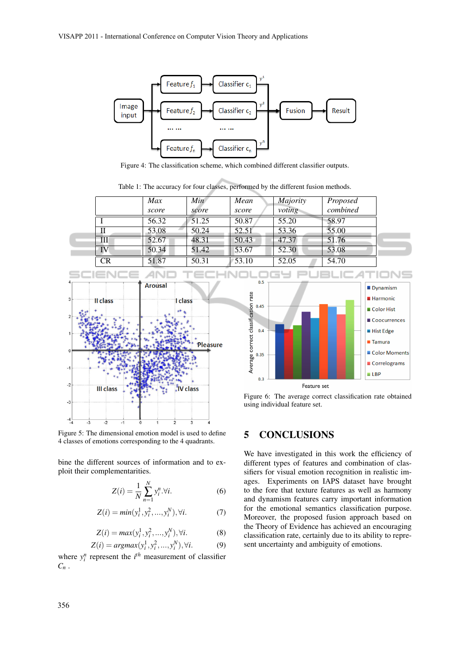

Figure 4: The classification scheme, which combined different classifier outputs.

Table 1: The accuracy for four classes, performed by the different fusion methods.

|    | Max   | Min                | Mean  | <i>Majority</i> | Proposed |
|----|-------|--------------------|-------|-----------------|----------|
|    | score | score              | score | voting          | combined |
|    | 56.32 | 51.25              | 50.87 | 55.20           | 58.97    |
| П  | 53.08 | 50.24              | 52.51 | 53.36           | 55.00    |
| Ш  | 52.67 | 48.31              | 50.43 | 47.37           | 51.76    |
| IV | 50.34 | 51.42              | 53.67 | 52.30           | 53.08    |
| CR | 51.87 | $50.\overline{31}$ | 53.10 | 52.05           | 54.70    |





Figure 6: The average correct classification rate obtained using individual feature set.

Figure 5: The dimensional emotion model is used to define 4 classes of emotions corresponding to the 4 quadrants.

bine the different sources of information and to exploit their complementarities.

$$
Z(i) = \frac{1}{N} \sum_{n=1}^{N} y_i^n . \forall i.
$$
 (6)

$$
Z(i) = min(y_i^1, y_i^2, ..., y_i^N), \forall i.
$$
 (7)

$$
Z(i) = max(y_i^1, y_i^2, ..., y_i^N), \forall i.
$$
 (8)

$$
Z(i) = argmax(y_i^1, y_i^2, \dots, y_i^N), \forall i.
$$
 (9)

where  $y_i^n$  represent the  $i^{th}$  measurement of classifier *C<sup>n</sup>* .

### 5 CONCLUSIONS

We have investigated in this work the efficiency of different types of features and combination of classifiers for visual emotion recognition in realistic images. Experiments on IAPS dataset have brought to the fore that texture features as well as harmony and dynamism features carry important information for the emotional semantics classification purpose. Moreover, the proposed fusion approach based on the Theory of Evidence has achieved an encouraging classification rate, certainly due to its ability to represent uncertainty and ambiguity of emotions.